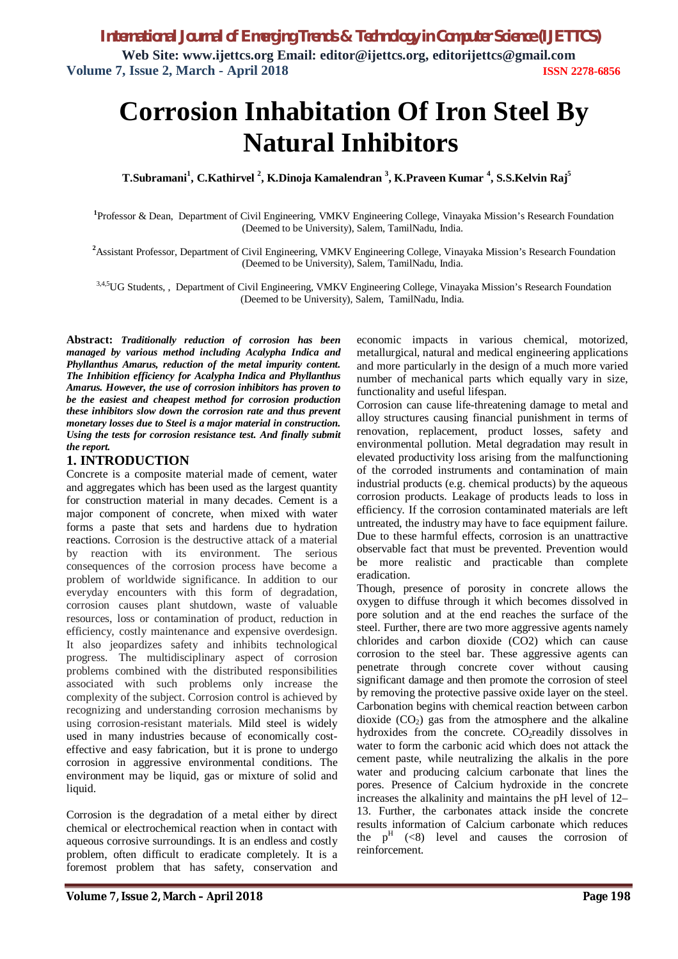# **Corrosion Inhabitation Of Iron Steel By Natural Inhibitors**

**T.Subramani<sup>1</sup> , C.Kathirvel <sup>2</sup> , K.Dinoja Kamalendran <sup>3</sup> , K.Praveen Kumar <sup>4</sup> , S.S.Kelvin Raj<sup>5</sup>**

**1** Professor & Dean, Department of Civil Engineering, VMKV Engineering College, Vinayaka Mission's Research Foundation (Deemed to be University), Salem, TamilNadu, India.

**<sup>2</sup>**Assistant Professor, Department of Civil Engineering, VMKV Engineering College, Vinayaka Mission's Research Foundation (Deemed to be University), Salem, TamilNadu, India.

3,4,5UG Students,, Department of Civil Engineering, VMKV Engineering College, Vinayaka Mission's Research Foundation (Deemed to be University), Salem, TamilNadu, India.

**Abstract:** *Traditionally reduction of corrosion has been managed by various method including Acalypha Indica and Phyllanthus Amarus, reduction of the metal impurity content. The Inhibition efficiency for Acalypha Indica and Phyllanthus Amarus. However, the use of corrosion inhibitors has proven to be the easiest and cheapest method for corrosion production these inhibitors slow down the corrosion rate and thus prevent monetary losses due to Steel is a major material in construction. Using the tests for corrosion resistance test. And finally submit the report.*

### **1. INTRODUCTION**

Concrete is a composite material made of cement, water and aggregates which has been used as the largest quantity for construction material in many decades. Cement is a major component of concrete, when mixed with water forms a paste that sets and hardens due to hydration reactions. Corrosion is the destructive attack of a material by reaction with its environment. The serious consequences of the corrosion process have become a problem of worldwide significance. In addition to our everyday encounters with this form of degradation, corrosion causes plant shutdown, waste of valuable resources, loss or contamination of product, reduction in efficiency, costly maintenance and expensive overdesign. It also jeopardizes safety and inhibits technological progress. The multidisciplinary aspect of corrosion problems combined with the distributed responsibilities associated with such problems only increase the complexity of the subject. Corrosion control is achieved by recognizing and understanding corrosion mechanisms by using corrosion-resistant materials. Mild steel is widely used in many industries because of economically costeffective and easy fabrication, but it is prone to undergo corrosion in aggressive environmental conditions. The environment may be liquid, gas or mixture of solid and liquid.

Corrosion is the degradation of a metal either by direct chemical or electrochemical reaction when in contact with aqueous corrosive surroundings. It is an endless and costly problem, often difficult to eradicate completely. It is a foremost problem that has safety, conservation and

economic impacts in various chemical, motorized, metallurgical, natural and medical engineering applications and more particularly in the design of a much more varied number of mechanical parts which equally vary in size, functionality and useful lifespan.

Corrosion can cause life-threatening damage to metal and alloy structures causing financial punishment in terms of renovation, replacement, product losses, safety and environmental pollution. Metal degradation may result in elevated productivity loss arising from the malfunctioning of the corroded instruments and contamination of main industrial products (e.g. chemical products) by the aqueous corrosion products. Leakage of products leads to loss in efficiency. If the corrosion contaminated materials are left untreated, the industry may have to face equipment failure. Due to these harmful effects, corrosion is an unattractive observable fact that must be prevented. Prevention would be more realistic and practicable than complete eradication.

Though, presence of porosity in concrete allows the oxygen to diffuse through it which becomes dissolved in pore solution and at the end reaches the surface of the steel. Further, there are two more aggressive agents namely chlorides and carbon dioxide (CO2) which can cause corrosion to the steel bar. These aggressive agents can penetrate through concrete cover without causing significant damage and then promote the corrosion of steel by removing the protective passive oxide layer on the steel. Carbonation begins with chemical reaction between carbon dioxide  $(CO<sub>2</sub>)$  gas from the atmosphere and the alkaline hydroxides from the concrete. CO<sub>2</sub>readily dissolves in water to form the carbonic acid which does not attack the cement paste, while neutralizing the alkalis in the pore water and producing calcium carbonate that lines the pores. Presence of Calcium hydroxide in the concrete increases the alkalinity and maintains the pH level of 12– 13. Further, the carbonates attack inside the concrete results information of Calcium carbonate which reduces the  $p<sup>H</sup>$  (<8) level and causes the corrosion of reinforcement.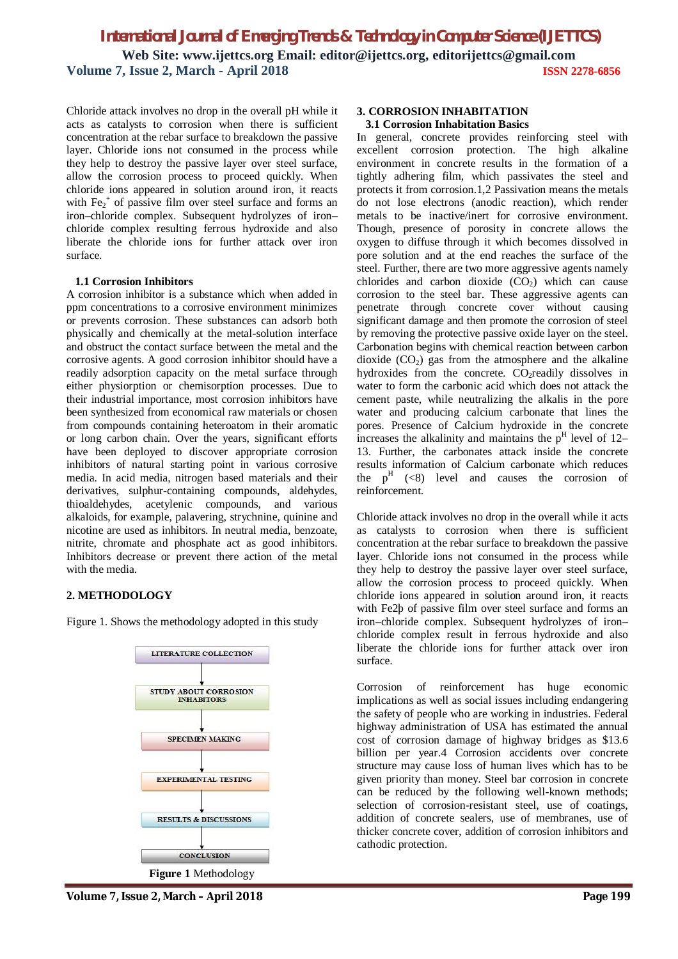Chloride attack involves no drop in the overall pH while it acts as catalysts to corrosion when there is sufficient concentration at the rebar surface to breakdown the passive layer. Chloride ions not consumed in the process while they help to destroy the passive layer over steel surface, allow the corrosion process to proceed quickly. When chloride ions appeared in solution around iron, it reacts with  $Fe<sub>2</sub><sup>+</sup>$  of passive film over steel surface and forms an iron–chloride complex. Subsequent hydrolyzes of iron– chloride complex resulting ferrous hydroxide and also liberate the chloride ions for further attack over iron surface.

#### **1.1 Corrosion Inhibitors**

A corrosion inhibitor is a substance which when added in ppm concentrations to a corrosive environment minimizes or prevents corrosion. These substances can adsorb both physically and chemically at the metal-solution interface and obstruct the contact surface between the metal and the corrosive agents. A good corrosion inhibitor should have a readily adsorption capacity on the metal surface through either physiorption or chemisorption processes. Due to their industrial importance, most corrosion inhibitors have been synthesized from economical raw materials or chosen from compounds containing heteroatom in their aromatic or long carbon chain. Over the years, significant efforts have been deployed to discover appropriate corrosion inhibitors of natural starting point in various corrosive media. In acid media, nitrogen based materials and their derivatives, sulphur-containing compounds, aldehydes, thioaldehydes, acetylenic compounds, and various alkaloids, for example, palavering, strychnine, quinine and nicotine are used as inhibitors. In neutral media, benzoate, nitrite, chromate and phosphate act as good inhibitors. Inhibitors decrease or prevent there action of the metal with the media.

#### **2. METHODOLOGY**

Figure 1. Shows the methodology adopted in this study



#### **3. CORROSION INHABITATION 3.1 Corrosion Inhabitation Basics**

In general, concrete provides reinforcing steel with excellent corrosion protection. The high alkaline environment in concrete results in the formation of a tightly adhering film, which passivates the steel and protects it from corrosion.1,2 Passivation means the metals do not lose electrons (anodic reaction), which render metals to be inactive/inert for corrosive environment. Though, presence of porosity in concrete allows the oxygen to diffuse through it which becomes dissolved in pore solution and at the end reaches the surface of the steel. Further, there are two more aggressive agents namely chlorides and carbon dioxide  $(CO<sub>2</sub>)$  which can cause corrosion to the steel bar. These aggressive agents can penetrate through concrete cover without causing significant damage and then promote the corrosion of steel by removing the protective passive oxide layer on the steel. Carbonation begins with chemical reaction between carbon dioxide  $(CO_2)$  gas from the atmosphere and the alkaline hydroxides from the concrete.  $CO<sub>2</sub>$  readily dissolves in water to form the carbonic acid which does not attack the cement paste, while neutralizing the alkalis in the pore water and producing calcium carbonate that lines the pores. Presence of Calcium hydroxide in the concrete increases the alkalinity and maintains the  $p<sup>H</sup>$  level of 12– 13. Further, the carbonates attack inside the concrete results information of Calcium carbonate which reduces the  $p<sup>H</sup>$  (<8) level and causes the corrosion of reinforcement.

Chloride attack involves no drop in the overall while it acts as catalysts to corrosion when there is sufficient concentration at the rebar surface to breakdown the passive layer. Chloride ions not consumed in the process while they help to destroy the passive layer over steel surface, allow the corrosion process to proceed quickly. When chloride ions appeared in solution around iron, it reacts with Fe2þ of passive film over steel surface and forms an iron–chloride complex. Subsequent hydrolyzes of iron– chloride complex result in ferrous hydroxide and also liberate the chloride ions for further attack over iron surface.

Corrosion of reinforcement has huge economic implications as well as social issues including endangering the safety of people who are working in industries. Federal highway administration of USA has estimated the annual cost of corrosion damage of highway bridges as \$13.6 billion per year.4 Corrosion accidents over concrete structure may cause loss of human lives which has to be given priority than money. Steel bar corrosion in concrete can be reduced by the following well-known methods; selection of corrosion-resistant steel, use of coatings, addition of concrete sealers, use of membranes, use of thicker concrete cover, addition of corrosion inhibitors and cathodic protection.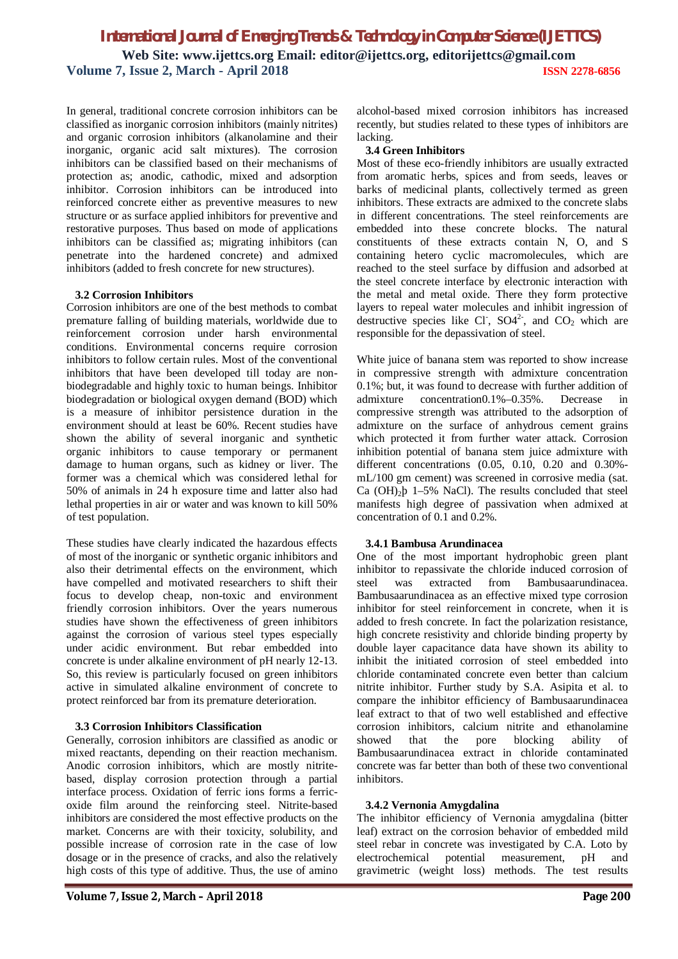In general, traditional concrete corrosion inhibitors can be classified as inorganic corrosion inhibitors (mainly nitrites) and organic corrosion inhibitors (alkanolamine and their inorganic, organic acid salt mixtures). The corrosion inhibitors can be classified based on their mechanisms of protection as; anodic, cathodic, mixed and adsorption inhibitor. Corrosion inhibitors can be introduced into reinforced concrete either as preventive measures to new structure or as surface applied inhibitors for preventive and restorative purposes. Thus based on mode of applications inhibitors can be classified as; migrating inhibitors (can penetrate into the hardened concrete) and admixed inhibitors (added to fresh concrete for new structures).

#### **3.2 Corrosion Inhibitors**

Corrosion inhibitors are one of the best methods to combat premature falling of building materials, worldwide due to reinforcement corrosion under harsh environmental conditions. Environmental concerns require corrosion inhibitors to follow certain rules. Most of the conventional inhibitors that have been developed till today are nonbiodegradable and highly toxic to human beings. Inhibitor biodegradation or biological oxygen demand (BOD) which is a measure of inhibitor persistence duration in the environment should at least be 60%. Recent studies have shown the ability of several inorganic and synthetic organic inhibitors to cause temporary or permanent damage to human organs, such as kidney or liver. The former was a chemical which was considered lethal for 50% of animals in 24 h exposure time and latter also had lethal properties in air or water and was known to kill 50% of test population.

These studies have clearly indicated the hazardous effects of most of the inorganic or synthetic organic inhibitors and also their detrimental effects on the environment, which have compelled and motivated researchers to shift their focus to develop cheap, non-toxic and environment friendly corrosion inhibitors. Over the years numerous studies have shown the effectiveness of green inhibitors against the corrosion of various steel types especially under acidic environment. But rebar embedded into concrete is under alkaline environment of pH nearly 12-13. So, this review is particularly focused on green inhibitors active in simulated alkaline environment of concrete to protect reinforced bar from its premature deterioration.

#### **3.3 Corrosion Inhibitors Classification**

Generally, corrosion inhibitors are classified as anodic or mixed reactants, depending on their reaction mechanism. Anodic corrosion inhibitors, which are mostly nitritebased, display corrosion protection through a partial interface process. Oxidation of ferric ions forms a ferricoxide film around the reinforcing steel. Nitrite-based inhibitors are considered the most effective products on the market. Concerns are with their toxicity, solubility, and possible increase of corrosion rate in the case of low dosage or in the presence of cracks, and also the relatively high costs of this type of additive. Thus, the use of amino alcohol-based mixed corrosion inhibitors has increased recently, but studies related to these types of inhibitors are lacking.

### **3.4 Green Inhibitors**

Most of these eco-friendly inhibitors are usually extracted from aromatic herbs, spices and from seeds, leaves or barks of medicinal plants, collectively termed as green inhibitors. These extracts are admixed to the concrete slabs in different concentrations. The steel reinforcements are embedded into these concrete blocks. The natural constituents of these extracts contain N, O, and S containing hetero cyclic macromolecules, which are reached to the steel surface by diffusion and adsorbed at the steel concrete interface by electronic interaction with the metal and metal oxide. There they form protective layers to repeal water molecules and inhibit ingression of destructive species like Cl<sup>-</sup>, SO4<sup>2-</sup>, and CO<sub>2</sub> which are responsible for the depassivation of steel.

White juice of banana stem was reported to show increase in compressive strength with admixture concentration 0.1%; but, it was found to decrease with further addition of admixture concentration0.1%–0.35%. Decrease in compressive strength was attributed to the adsorption of admixture on the surface of anhydrous cement grains which protected it from further water attack. Corrosion inhibition potential of banana stem juice admixture with different concentrations (0.05, 0.10, 0.20 and 0.30% mL/100 gm cement) was screened in corrosive media (sat. Ca  $(OH)_2$ b 1–5% NaCl). The results concluded that steel manifests high degree of passivation when admixed at concentration of 0.1 and 0.2%.

#### **3.4.1 Bambusa Arundinacea**

One of the most important hydrophobic green plant inhibitor to repassivate the chloride induced corrosion of steel was extracted from Bambusaarundinacea. Bambusaarundinacea as an effective mixed type corrosion inhibitor for steel reinforcement in concrete, when it is added to fresh concrete. In fact the polarization resistance, high concrete resistivity and chloride binding property by double layer capacitance data have shown its ability to inhibit the initiated corrosion of steel embedded into chloride contaminated concrete even better than calcium nitrite inhibitor. Further study by S.A. Asipita et al. to compare the inhibitor efficiency of Bambusaarundinacea leaf extract to that of two well established and effective corrosion inhibitors, calcium nitrite and ethanolamine showed that the pore blocking ability of Bambusaarundinacea extract in chloride contaminated concrete was far better than both of these two conventional inhibitors.

#### **3.4.2 Vernonia Amygdalina**

The inhibitor efficiency of Vernonia amygdalina (bitter leaf) extract on the corrosion behavior of embedded mild steel rebar in concrete was investigated by C.A. Loto by electrochemical potential measurement, pH and gravimetric (weight loss) methods. The test results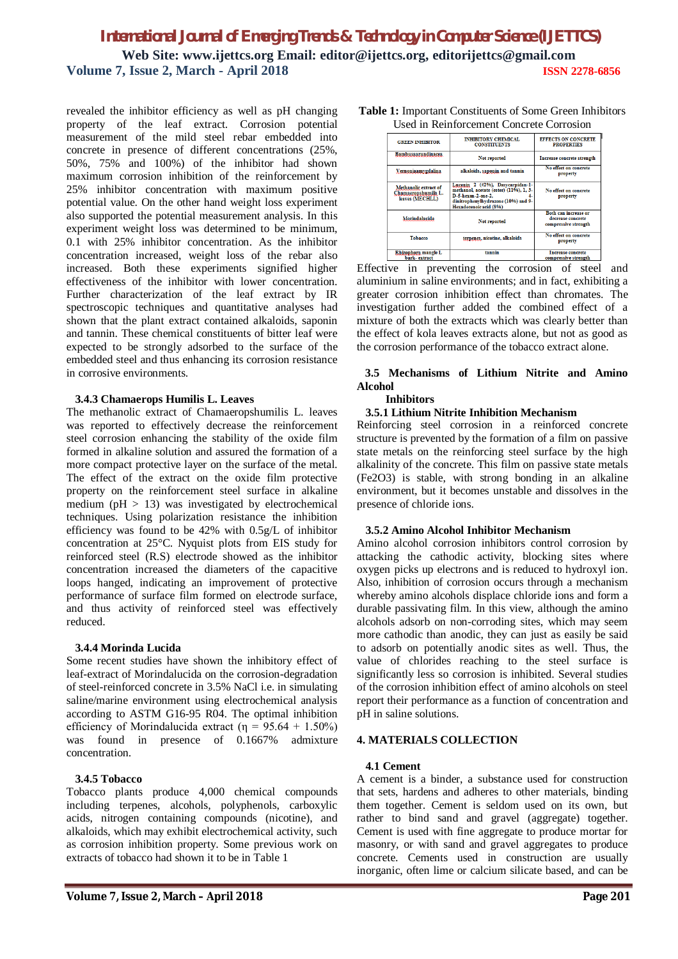revealed the inhibitor efficiency as well as pH changing property of the leaf extract. Corrosion potential measurement of the mild steel rebar embedded into concrete in presence of different concentrations (25%, 50%, 75% and 100%) of the inhibitor had shown maximum corrosion inhibition of the reinforcement by 25% inhibitor concentration with maximum positive potential value. On the other hand weight loss experiment also supported the potential measurement analysis. In this experiment weight loss was determined to be minimum, 0.1 with 25% inhibitor concentration. As the inhibitor concentration increased, weight loss of the rebar also increased. Both these experiments signified higher effectiveness of the inhibitor with lower concentration. Further characterization of the leaf extract by IR spectroscopic techniques and quantitative analyses had shown that the plant extract contained alkaloids, saponin and tannin. These chemical constituents of bitter leaf were expected to be strongly adsorbed to the surface of the embedded steel and thus enhancing its corrosion resistance in corrosive environments.

#### **3.4.3 Chamaerops Humilis L. Leaves**

The methanolic extract of Chamaeropshumilis L. leaves was reported to effectively decrease the reinforcement steel corrosion enhancing the stability of the oxide film formed in alkaline solution and assured the formation of a more compact protective layer on the surface of the metal. The effect of the extract on the oxide film protective property on the reinforcement steel surface in alkaline medium ( $pH > 13$ ) was investigated by electrochemical techniques. Using polarization resistance the inhibition efficiency was found to be 42% with 0.5g/L of inhibitor concentration at 25°C. Nyquist plots from EIS study for reinforced steel (R.S) electrode showed as the inhibitor concentration increased the diameters of the capacitive loops hanged, indicating an improvement of protective performance of surface film formed on electrode surface, and thus activity of reinforced steel was effectively reduced.

#### **3.4.4 Morinda Lucida**

Some recent studies have shown the inhibitory effect of leaf-extract of Morindalucida on the corrosion-degradation of steel-reinforced concrete in 3.5% NaCl i.e. in simulating saline/marine environment using electrochemical analysis according to ASTM G16-95 R04. The optimal inhibition efficiency of Morindalucida extract ( $\eta = 95.64 + 1.50\%$ ) was found in presence of 0.1667% admixture concentration.

#### **3.4.5 Tobacco**

Tobacco plants produce 4,000 chemical compounds including terpenes, alcohols, polyphenols, carboxylic acids, nitrogen containing compounds (nicotine), and alkaloids, which may exhibit electrochemical activity, such as corrosion inhibition property. Some previous work on extracts of tobacco had shown it to be in Table 1

| <b>GREEN INHIBITOR</b>                                           | <b>INHIBITORY CHEMICAL</b><br><b>CONSTITUENTS</b>                                                                                                                 | <b>EFFECTS ON CONCRETE</b><br><b>PROPERTIES</b>                   |  |
|------------------------------------------------------------------|-------------------------------------------------------------------------------------------------------------------------------------------------------------------|-------------------------------------------------------------------|--|
| Bambusaarundinacea                                               | Not reported                                                                                                                                                      | Increase concrete strength                                        |  |
| Vernoniaamygdalina                                               | alkaloids, saponin and tannin                                                                                                                                     | No effect on concrete<br>property                                 |  |
| Methanolic extract of<br>Chamaeropshumilis L.<br>leaves (MECHLL) | Lucenin 2 (42%), Dasvcarpidan-1-<br>methanol. acetate (ester) (11%), 1, 3-<br>D-5-hexan-2-one-2,<br>dinitrophenylhydrazone (10%) and 9-<br>Hexadecenoic acid (8%) | No effect on concrete<br>property                                 |  |
| Morindalucida                                                    | Not reported                                                                                                                                                      | Both can increase or<br>decrease concrete<br>compressive strength |  |
| Tobacco                                                          | terpenes, nicotine, alkaloids                                                                                                                                     | No effect on concrete<br>property                                 |  |
| Rhizophora mangle L<br>hands and so at                           | tannin                                                                                                                                                            | <b>Increase concrete</b><br>annoncealors at someth-               |  |

| Table 1: Important Constituents of Some Green Inhibitors |
|----------------------------------------------------------|
| Used in Reinforcement Concrete Corrosion                 |

Effective in preventing the corrosion of steel and aluminium in saline environments; and in fact, exhibiting a greater corrosion inhibition effect than chromates. The investigation further added the combined effect of a mixture of both the extracts which was clearly better than the effect of kola leaves extracts alone, but not as good as the corrosion performance of the tobacco extract alone.

### **3.5 Mechanisms of Lithium Nitrite and Amino Alcohol**

### **Inhibitors**

### **3.5.1 Lithium Nitrite Inhibition Mechanism**

Reinforcing steel corrosion in a reinforced concrete structure is prevented by the formation of a film on passive state metals on the reinforcing steel surface by the high alkalinity of the concrete. This film on passive state metals (Fe2O3) is stable, with strong bonding in an alkaline environment, but it becomes unstable and dissolves in the presence of chloride ions.

#### **3.5.2 Amino Alcohol Inhibitor Mechanism**

Amino alcohol corrosion inhibitors control corrosion by attacking the cathodic activity, blocking sites where oxygen picks up electrons and is reduced to hydroxyl ion. Also, inhibition of corrosion occurs through a mechanism whereby amino alcohols displace chloride ions and form a durable passivating film. In this view, although the amino alcohols adsorb on non-corroding sites, which may seem more cathodic than anodic, they can just as easily be said to adsorb on potentially anodic sites as well. Thus, the value of chlorides reaching to the steel surface is significantly less so corrosion is inhibited. Several studies of the corrosion inhibition effect of amino alcohols on steel report their performance as a function of concentration and pH in saline solutions.

#### **4. MATERIALS COLLECTION**

#### **4.1 Cement**

A cement is a binder, a substance used for construction that sets, hardens and adheres to other materials, binding them together. Cement is seldom used on its own, but rather to bind sand and gravel (aggregate) together. Cement is used with fine aggregate to produce mortar for masonry, or with sand and gravel aggregates to produce concrete. Cements used in construction are usually inorganic, often lime or calcium silicate based, and can be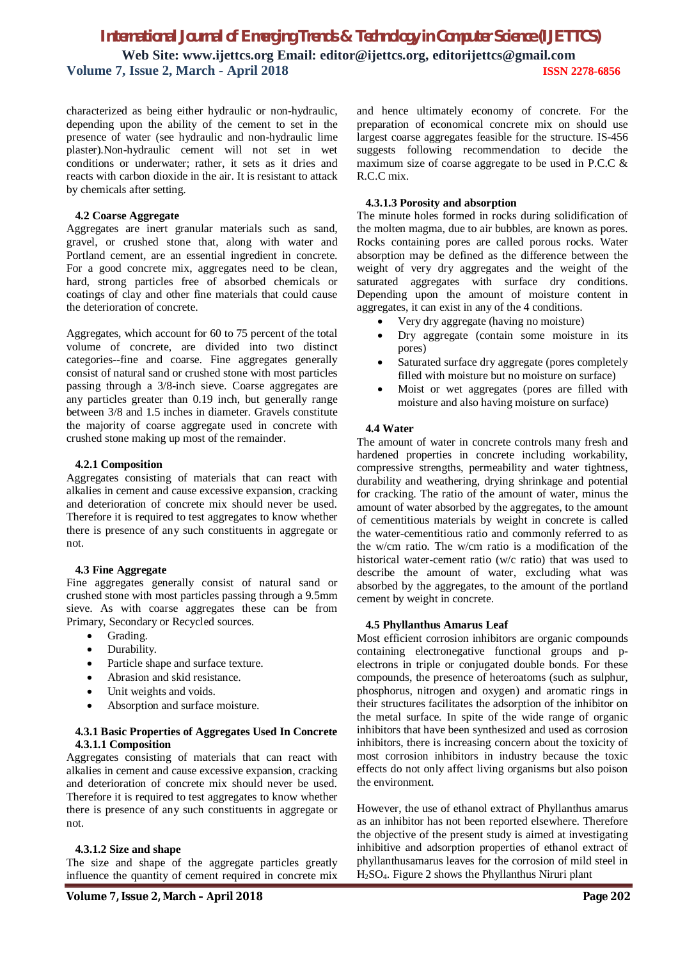characterized as being either hydraulic or non-hydraulic, depending upon the ability of the cement to set in the presence of water (see hydraulic and non-hydraulic lime plaster).Non-hydraulic cement will not set in wet conditions or underwater; rather, it sets as it dries and reacts with carbon dioxide in the air. It is resistant to attack by chemicals after setting.

#### **4.2 Coarse Aggregate**

Aggregates are inert granular materials such as sand, gravel, or crushed stone that, along with water and Portland cement, are an essential ingredient in concrete. For a good concrete mix, aggregates need to be clean, hard, strong particles free of absorbed chemicals or coatings of clay and other fine materials that could cause the deterioration of concrete.

Aggregates, which account for 60 to 75 percent of the total volume of concrete, are divided into two distinct categories--fine and coarse. Fine aggregates generally consist of natural sand or crushed stone with most particles passing through a 3/8-inch sieve. Coarse aggregates are any particles greater than 0.19 inch, but generally range between 3/8 and 1.5 inches in diameter. Gravels constitute the majority of coarse aggregate used in concrete with crushed stone making up most of the remainder.

#### **4.2.1 Composition**

Aggregates consisting of materials that can react with alkalies in cement and cause excessive expansion, cracking and deterioration of concrete mix should never be used. Therefore it is required to test aggregates to know whether there is presence of any such constituents in aggregate or not.

#### **4.3 Fine Aggregate**

Fine aggregates generally consist of natural sand or crushed stone with most particles passing through a 9.5mm sieve. As with coarse aggregates these can be from Primary, Secondary or Recycled sources.

- Grading.
	- Durability.
- Particle shape and surface texture.
- Abrasion and skid resistance.
- Unit weights and voids.
- Absorption and surface moisture.

#### **4.3.1 Basic Properties of Aggregates Used In Concrete 4.3.1.1 Composition**

Aggregates consisting of materials that can react with alkalies in cement and cause excessive expansion, cracking and deterioration of concrete mix should never be used. Therefore it is required to test aggregates to know whether there is presence of any such constituents in aggregate or not.

#### **4.3.1.2 Size and shape**

The size and shape of the aggregate particles greatly influence the quantity of cement required in concrete mix

and hence ultimately economy of concrete. For the preparation of economical concrete mix on should use largest coarse aggregates feasible for the structure. IS-456 suggests following recommendation to decide the maximum size of coarse aggregate to be used in P.C.C & R.C.C mix.

#### **4.3.1.3 Porosity and absorption**

The minute holes formed in rocks during solidification of the molten magma, due to air bubbles, are known as pores. Rocks containing pores are called porous rocks. Water absorption may be defined as the difference between the weight of very dry aggregates and the weight of the saturated aggregates with surface dry conditions. Depending upon the amount of moisture content in aggregates, it can exist in any of the 4 conditions.

- Very dry aggregate (having no moisture)
- Dry aggregate (contain some moisture in its pores)
- Saturated surface dry aggregate (pores completely filled with moisture but no moisture on surface)
- Moist or wet aggregates (pores are filled with moisture and also having moisture on surface)

#### **4.4 Water**

The amount of water in concrete controls many fresh and hardened properties in concrete including workability, compressive strengths, permeability and water tightness, durability and weathering, drying shrinkage and potential for cracking. The ratio of the amount of water, minus the amount of water absorbed by the aggregates, to the amount of cementitious materials by weight in concrete is called the water-cementitious ratio and commonly referred to as the w/cm ratio. The w/cm ratio is a modification of the historical water-cement ratio (w/c ratio) that was used to describe the amount of water, excluding what was absorbed by the aggregates, to the amount of the portland cement by weight in concrete.

#### **4.5 Phyllanthus Amarus Leaf**

Most efficient corrosion inhibitors are organic compounds containing electronegative functional groups and pelectrons in triple or conjugated double bonds. For these compounds, the presence of heteroatoms (such as sulphur, phosphorus, nitrogen and oxygen) and aromatic rings in their structures facilitates the adsorption of the inhibitor on the metal surface. In spite of the wide range of organic inhibitors that have been synthesized and used as corrosion inhibitors, there is increasing concern about the toxicity of most corrosion inhibitors in industry because the toxic effects do not only affect living organisms but also poison the environment.

However, the use of ethanol extract of Phyllanthus amarus as an inhibitor has not been reported elsewhere. Therefore the objective of the present study is aimed at investigating inhibitive and adsorption properties of ethanol extract of phyllanthusamarus leaves for the corrosion of mild steel in H2SO4. Figure 2 shows the Phyllanthus Niruri plant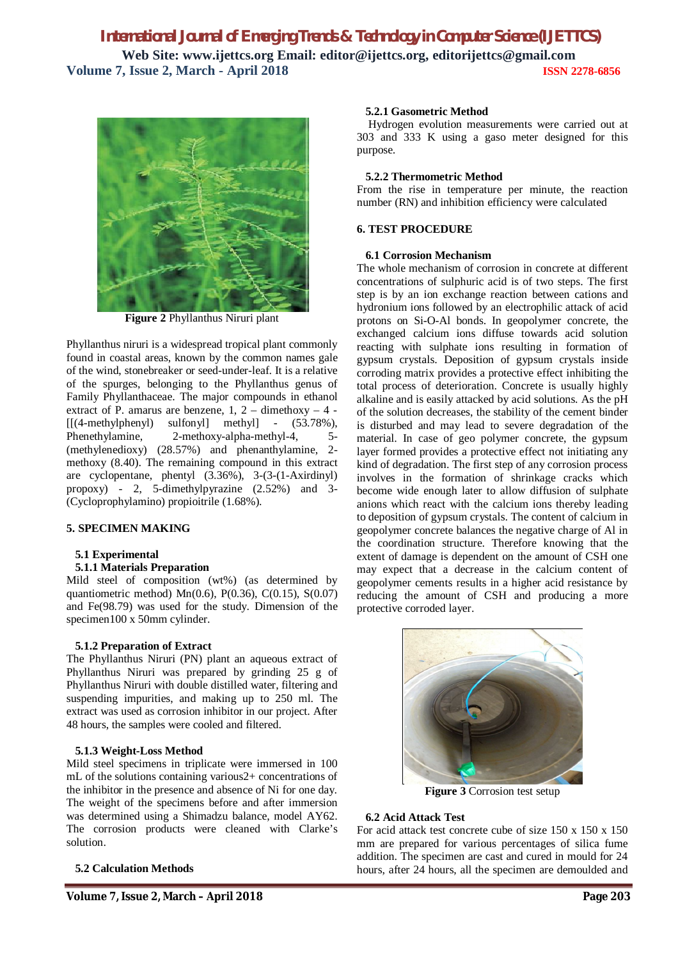

**Figure 2** Phyllanthus Niruri plant

Phyllanthus niruri is a widespread tropical plant commonly found in coastal areas, known by the common names gale of the wind, stonebreaker or seed-under-leaf. It is a relative of the spurges, belonging to the Phyllanthus genus of Family Phyllanthaceae. The major compounds in ethanol extract of P. amarus are benzene,  $1, 2 -$  dimethoxy  $-4 -$ [[(4-methylphenyl) sulfonyl] methyl] - (53.78%),<br>Phenethylamine, 2-methoxy-alpha-methyl-4, 5- $2$ -methoxy-alpha-methyl-4,  $5$ -(methylenedioxy) (28.57%) and phenanthylamine, 2 methoxy (8.40). The remaining compound in this extract are cyclopentane, phentyl (3.36%), 3-(3-(1-Axirdinyl) propoxy) - 2, 5-dimethylpyrazine (2.52%) and 3- (Cycloprophylamino) propioitrile (1.68%).

#### **5. SPECIMEN MAKING**

### **5.1 Experimental**

### **5.1.1 Materials Preparation**

Mild steel of composition (wt%) (as determined by quantiometric method) Mn(0.6), P(0.36), C(0.15), S(0.07) and Fe(98.79) was used for the study. Dimension of the specimen100 x 50mm cylinder.

#### **5.1.2 Preparation of Extract**

The Phyllanthus Niruri (PN) plant an aqueous extract of Phyllanthus Niruri was prepared by grinding 25 g of Phyllanthus Niruri with double distilled water, filtering and suspending impurities, and making up to 250 ml. The extract was used as corrosion inhibitor in our project. After 48 hours, the samples were cooled and filtered.

#### **5.1.3 Weight-Loss Method**

Mild steel specimens in triplicate were immersed in 100 mL of the solutions containing various2+ concentrations of the inhibitor in the presence and absence of Ni for one day. The weight of the specimens before and after immersion was determined using a Shimadzu balance, model AY62. The corrosion products were cleaned with Clarke's solution.

#### **5.2 Calculation Methods**

#### **5.2.1 Gasometric Method**

Hydrogen evolution measurements were carried out at 303 and 333 K using a gaso meter designed for this purpose.

#### **5.2.2 Thermometric Method**

From the rise in temperature per minute, the reaction number (RN) and inhibition efficiency were calculated

#### **6. TEST PROCEDURE**

#### **6.1 Corrosion Mechanism**

The whole mechanism of corrosion in concrete at different concentrations of sulphuric acid is of two steps. The first step is by an ion exchange reaction between cations and hydronium ions followed by an electrophilic attack of acid protons on Si-O-Al bonds. In geopolymer concrete, the exchanged calcium ions diffuse towards acid solution reacting with sulphate ions resulting in formation of gypsum crystals. Deposition of gypsum crystals inside corroding matrix provides a protective effect inhibiting the total process of deterioration. Concrete is usually highly alkaline and is easily attacked by acid solutions. As the pH of the solution decreases, the stability of the cement binder is disturbed and may lead to severe degradation of the material. In case of geo polymer concrete, the gypsum layer formed provides a protective effect not initiating any kind of degradation. The first step of any corrosion process involves in the formation of shrinkage cracks which become wide enough later to allow diffusion of sulphate anions which react with the calcium ions thereby leading to deposition of gypsum crystals. The content of calcium in geopolymer concrete balances the negative charge of Al in the coordination structure. Therefore knowing that the extent of damage is dependent on the amount of CSH one may expect that a decrease in the calcium content of geopolymer cements results in a higher acid resistance by reducing the amount of CSH and producing a more protective corroded layer.



**Figure 3** Corrosion test setup

#### **6.2 Acid Attack Test**

For acid attack test concrete cube of size 150 x 150 x 150 mm are prepared for various percentages of silica fume addition. The specimen are cast and cured in mould for 24 hours, after 24 hours, all the specimen are demoulded and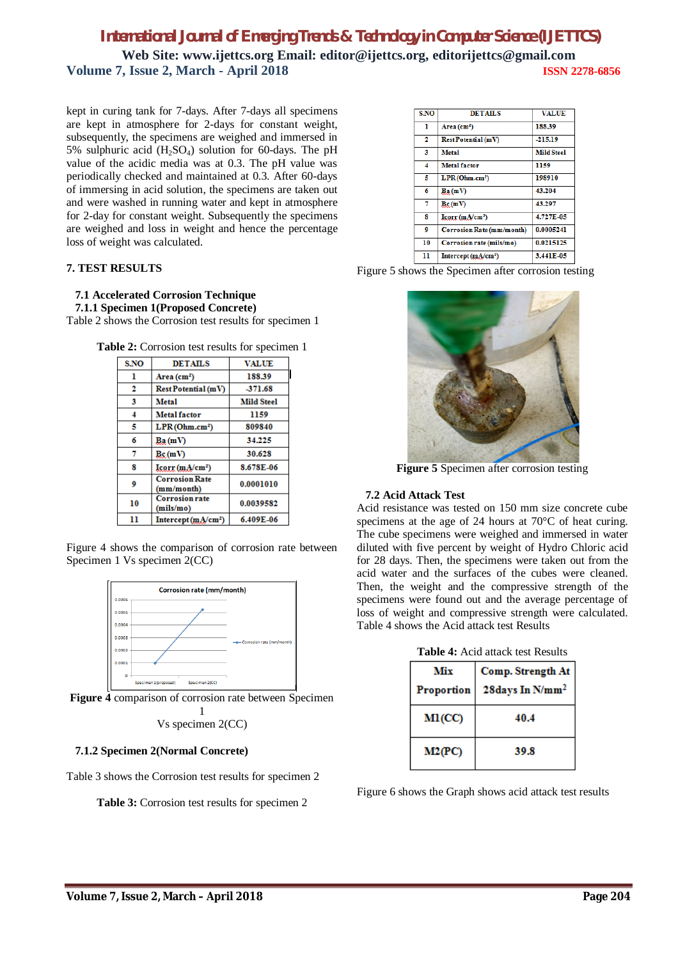kept in curing tank for 7-days. After 7-days all specimens are kept in atmosphere for 2-days for constant weight, subsequently, the specimens are weighed and immersed in 5% sulphuric acid  $(H_2SO_4)$  solution for 60-days. The pH value of the acidic media was at 0.3. The pH value was periodically checked and maintained at 0.3. After 60-days of immersing in acid solution, the specimens are taken out and were washed in running water and kept in atmosphere for 2-day for constant weight. Subsequently the specimens are weighed and loss in weight and hence the percentage loss of weight was calculated.

#### **7. TEST RESULTS**

#### **7.1 Accelerated Corrosion Technique**

 **7.1.1 Specimen 1(Proposed Concrete)**

Table 2 shows the Corrosion test results for specimen 1

| S.NO | <b>DETAILS</b>                      | <b>VALUE</b>      |
|------|-------------------------------------|-------------------|
| ı    | Area $(cm2)$                        | 188.39            |
| 2    | <b>Rest Potential (mV)</b>          | $-371.68$         |
| 3    | <b>Metal</b>                        | <b>Mild Steel</b> |
| 4    | Metal factor                        | 1159              |
| 5    | LPR(Ohm.cm <sup>2</sup> )           | 809840            |
| 6    | Ba(mV)                              | 34.225            |
| 7    | Bc(mV)                              | 30.628            |
| 8    | Icorr (mA/cm <sup>2</sup> )         | 8.678E-06         |
| 9    | <b>Corrosion Rate</b><br>(mm/month) | 0.0001010         |
| 10   | <b>Corrosion rate</b><br>(mils/mo)  | 0.0039582         |
| 11   | Intercept $(mA/cm2)$                | 6.409E-06         |

**Table 2:** Corrosion test results for specimen 1

Figure 4 shows the comparison of corrosion rate between Specimen 1 Vs specimen 2(CC)



**Figure 4** comparison of corrosion rate between Specimen

1 Vs specimen 2(CC)

#### **7.1.2 Specimen 2(Normal Concrete)**

Table 3 shows the Corrosion test results for specimen 2

**Table 3:** Corrosion test results for specimen 2

| <b>S.NO</b> | <b>DETAILS</b>                       | <b>VALUE</b>      |
|-------------|--------------------------------------|-------------------|
| 1           | Area $(cm2)$                         | 188.39            |
| 2           | Rest Potential (mV)                  | $-215.19$         |
| 3           | Metal                                | <b>Mild Steel</b> |
| 4           | Metal factor                         | 1159              |
| 5           | LPR(Ohm.cm <sup>2</sup> )            | 198910            |
| 6           | Ba(mV)                               | 43.204            |
| 7           | Bc(mV)                               | 43.297            |
| 8           | $L\text{corr}$ (mA/cm <sup>2</sup> ) | 4.727E-05         |
| 0           | Corrosion Rate (mm/month)            | 0.0005241         |
| 10          | Corrosion rate (mils/mo)             | 0.0215125         |
| 11          | Intercept $(mA/cm2)$                 | 3.441E-05         |

|  | Figure 5 shows the Specimen after corrosion testing |  |  |
|--|-----------------------------------------------------|--|--|
|  |                                                     |  |  |



**Figure 5** Specimen after corrosion testing

#### **7.2 Acid Attack Test**

Acid resistance was tested on 150 mm size concrete cube specimens at the age of 24 hours at 70°C of heat curing. The cube specimens were weighed and immersed in water diluted with five percent by weight of Hydro Chloric acid for 28 days. Then, the specimens were taken out from the acid water and the surfaces of the cubes were cleaned. Then, the weight and the compressive strength of the specimens were found out and the average percentage of loss of weight and compressive strength were calculated. Table 4 shows the Acid attack test Results

| <b>Table 4:</b> Acid attack test Results |
|------------------------------------------|
|------------------------------------------|

| Mix        | Comp. Strength At           |
|------------|-----------------------------|
| Proportion | 28days In N/mm <sup>2</sup> |
| M1(CC)     | 40.4                        |
| M2(PC)     | 39.8                        |

Figure 6 shows the Graph shows acid attack test results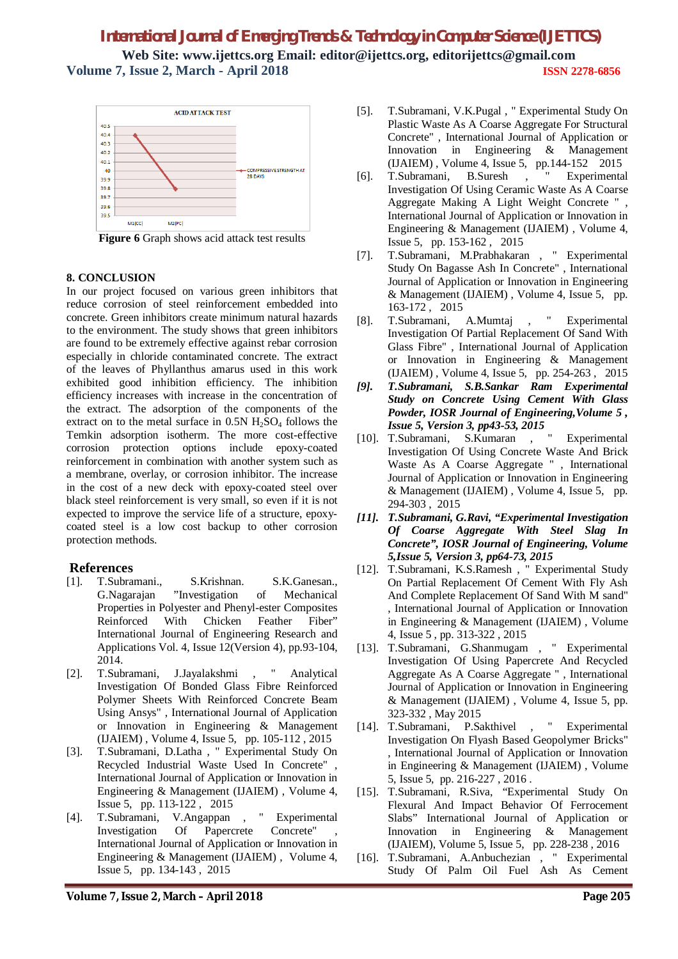

**Figure 6** Graph shows acid attack test results

#### **8. CONCLUSION**

In our project focused on various green inhibitors that reduce corrosion of steel reinforcement embedded into concrete. Green inhibitors create minimum natural hazards to the environment. The study shows that green inhibitors are found to be extremely effective against rebar corrosion especially in chloride contaminated concrete. The extract of the leaves of Phyllanthus amarus used in this work exhibited good inhibition efficiency. The inhibition efficiency increases with increase in the concentration of the extract. The adsorption of the components of the extract on to the metal surface in  $0.5N$  H<sub>2</sub>SO<sub>4</sub> follows the Temkin adsorption isotherm. The more cost-effective corrosion protection options include epoxy-coated reinforcement in combination with another system such as a membrane, overlay, or corrosion inhibitor. The increase in the cost of a new deck with epoxy-coated steel over black steel reinforcement is very small, so even if it is not expected to improve the service life of a structure, epoxycoated steel is a low cost backup to other corrosion protection methods.

### **References**

- [1]. T.Subramani., S.Krishnan. S.K.Ganesan., G.Nagarajan "Investigation of Mechanical Properties in Polyester and Phenyl-ester Composites Reinforced With Chicken Feather Fiber" International Journal of Engineering Research and Applications Vol. 4, Issue 12(Version 4), pp.93-104, 2014.
- [2]. T.Subramani, J.Jayalakshmi , " Analytical Investigation Of Bonded Glass Fibre Reinforced Polymer Sheets With Reinforced Concrete Beam Using Ansys" , International Journal of Application or Innovation in Engineering & Management (IJAIEM) , Volume 4, Issue 5, pp. 105-112 , 2015
- [3]. T.Subramani, D.Latha , " Experimental Study On Recycled Industrial Waste Used In Concrete" , International Journal of Application or Innovation in Engineering & Management (IJAIEM) , Volume 4, Issue 5, pp. 113-122 , 2015
- [4]. T.Subramani, V.Angappan , " Experimental Investigation Of Papercrete Concrete" International Journal of Application or Innovation in Engineering & Management (IJAIEM) , Volume 4, Issue 5, pp. 134-143 , 2015
- [5]. T.Subramani, V.K.Pugal , " Experimental Study On Plastic Waste As A Coarse Aggregate For Structural Concrete" , International Journal of Application or Innovation in Engineering & Management (IJAIEM) , Volume 4, Issue 5, pp.144-152 2015
- [6]. T.Subramani, B.Suresh , " Experimental Investigation Of Using Ceramic Waste As A Coarse Aggregate Making A Light Weight Concrete " , International Journal of Application or Innovation in Engineering & Management (IJAIEM) , Volume 4, Issue 5, pp. 153-162 , 2015
- [7]. T.Subramani, M.Prabhakaran , " Experimental Study On Bagasse Ash In Concrete" , International Journal of Application or Innovation in Engineering & Management (IJAIEM) , Volume 4, Issue 5, pp. 163-172, 2015<br>T.Subramani,
- [8]. T.Subramani, A.Mumtaj , " Experimental Investigation Of Partial Replacement Of Sand With Glass Fibre" , International Journal of Application or Innovation in Engineering & Management (IJAIEM) , Volume 4, Issue 5, pp. 254-263 , 2015
- *[9]. T.Subramani, S.B.Sankar Ram Experimental Study on Concrete Using Cement With Glass Powder, IOSR Journal of Engineering,Volume 5 , Issue 5, Version 3, pp43-53, 2015*
- [10]. T.Subramani, S.Kumaran , " Experimental Investigation Of Using Concrete Waste And Brick Waste As A Coarse Aggregate " , International Journal of Application or Innovation in Engineering & Management (IJAIEM) , Volume 4, Issue 5, pp. 294-303 , 2015
- *[11]. T.Subramani, G.Ravi, "Experimental Investigation Of Coarse Aggregate With Steel Slag In Concrete", IOSR Journal of Engineering, Volume 5,Issue 5, Version 3, pp64-73, 2015*
- [12]. T.Subramani, K.S.Ramesh , " Experimental Study On Partial Replacement Of Cement With Fly Ash And Complete Replacement Of Sand With M sand" , International Journal of Application or Innovation in Engineering & Management (IJAIEM) , Volume 4, Issue 5 , pp. 313-322 , 2015
- [13]. T.Subramani, G.Shanmugam , " Experimental Investigation Of Using Papercrete And Recycled Aggregate As A Coarse Aggregate " , International Journal of Application or Innovation in Engineering & Management (IJAIEM) , Volume 4, Issue 5, pp. 323-332 , May 2015
- [14]. T.Subramani, P.Sakthivel , " Experimental Investigation On Flyash Based Geopolymer Bricks" , International Journal of Application or Innovation in Engineering & Management (IJAIEM) , Volume 5, Issue 5, pp. 216-227 , 2016 .
- [15]. T.Subramani, R.Siva, "Experimental Study On Flexural And Impact Behavior Of Ferrocement Slabs" International Journal of Application or Innovation in Engineering & Management (IJAIEM), Volume 5, Issue 5, pp. 228-238 , 2016
- [16]. T.Subramani, A.Anbuchezian , " Experimental Study Of Palm Oil Fuel Ash As Cement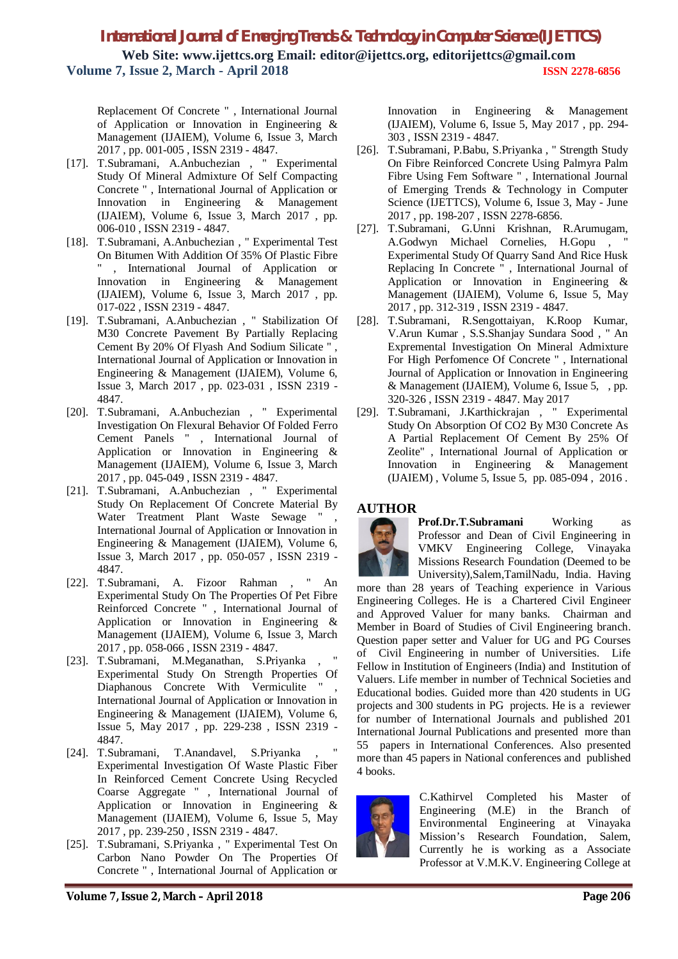Replacement Of Concrete " , International Journal of Application or Innovation in Engineering & Management (IJAIEM), Volume 6, Issue 3, March 2017 , pp. 001-005 , ISSN 2319 - 4847.

- [17]. T.Subramani, A.Anbuchezian , " Experimental Study Of Mineral Admixture Of Self Compacting Concrete " , International Journal of Application or Innovation in Engineering & Management (IJAIEM), Volume 6, Issue 3, March 2017 , pp. 006-010 , ISSN 2319 - 4847.
- [18]. T.Subramani, A.Anbuchezian , " Experimental Test On Bitumen With Addition Of 35% Of Plastic Fibre " , International Journal of Application or Innovation in Engineering & Management (IJAIEM), Volume 6, Issue 3, March 2017 , pp. 017-022 , ISSN 2319 - 4847.
- [19]. T.Subramani, A.Anbuchezian , " Stabilization Of M30 Concrete Pavement By Partially Replacing Cement By 20% Of Flyash And Sodium Silicate " , International Journal of Application or Innovation in Engineering & Management (IJAIEM), Volume 6, Issue 3, March 2017 , pp. 023-031 , ISSN 2319 - 4847.
- [20]. T.Subramani, A.Anbuchezian , " Experimental Investigation On Flexural Behavior Of Folded Ferro Cement Panels " , International Journal of Application or Innovation in Engineering & Management (IJAIEM), Volume 6, Issue 3, March 2017 , pp. 045-049 , ISSN 2319 - 4847.
- [21]. T.Subramani, A.Anbuchezian , " Experimental Study On Replacement Of Concrete Material By Water Treatment Plant Waste Sewage " International Journal of Application or Innovation in Engineering & Management (IJAIEM), Volume 6, Issue 3, March 2017 , pp. 050-057 , ISSN 2319 - 4847.
- [22]. T.Subramani, A. Fizoor Rahman , " An Experimental Study On The Properties Of Pet Fibre Reinforced Concrete " , International Journal of Application or Innovation in Engineering & Management (IJAIEM), Volume 6, Issue 3, March 2017 , pp. 058-066 , ISSN 2319 - 4847.
- [23]. T.Subramani, M.Meganathan, S.Priyanka , " Experimental Study On Strength Properties Of Diaphanous Concrete With Vermiculite " International Journal of Application or Innovation in Engineering & Management (IJAIEM), Volume 6, Issue 5, May 2017 , pp. 229-238 , ISSN 2319 - 4847.
- [24]. T.Subramani, T.Anandavel, S.Priyanka Experimental Investigation Of Waste Plastic Fiber In Reinforced Cement Concrete Using Recycled Coarse Aggregate " , International Journal of Application or Innovation in Engineering & Management (IJAIEM), Volume 6, Issue 5, May 2017 , pp. 239-250 , ISSN 2319 - 4847.
- [25]. T.Subramani, S.Priyanka , " Experimental Test On Carbon Nano Powder On The Properties Of Concrete " , International Journal of Application or

Innovation in Engineering & Management (IJAIEM), Volume 6, Issue 5, May 2017 , pp. 294- 303 , ISSN 2319 - 4847.

- [26]. T.Subramani, P.Babu, S.Privanka , " Strength Study On Fibre Reinforced Concrete Using Palmyra Palm Fibre Using Fem Software " , International Journal of Emerging Trends & Technology in Computer Science (IJETTCS), Volume 6, Issue 3, May - June 2017 , pp. 198-207 , ISSN 2278-6856.
- [27]. T.Subramani, G.Unni Krishnan, R.Arumugam, A.Godwyn Michael Cornelies, H.Gopu, Experimental Study Of Quarry Sand And Rice Husk Replacing In Concrete " , International Journal of Application or Innovation in Engineering & Management (IJAIEM), Volume 6, Issue 5, May 2017 , pp. 312-319 , ISSN 2319 - 4847.
- [28]. T.Subramani, R.Sengottaiyan, K.Roop Kumar, V.Arun Kumar , S.S.Shanjay Sundara Sood , " An Expremental Investigation On Mineral Admixture For High Perfomence Of Concrete " , International Journal of Application or Innovation in Engineering & Management (IJAIEM), Volume 6, Issue 5, , pp. 320-326 , ISSN 2319 - 4847. May 2017
- [29]. T.Subramani, J.Karthickrajan , " Experimental Study On Absorption Of CO2 By M30 Concrete As A Partial Replacement Of Cement By 25% Of Zeolite" , International Journal of Application or Innovation in Engineering & Management (IJAIEM) , Volume 5, Issue 5, pp. 085-094 , 2016 .

### **AUTHOR**

**Prof.Dr.T.Subramani** Working as Professor and Dean of Civil Engineering in VMKV Engineering College, Vinayaka Missions Research Foundation (Deemed to be University),Salem,TamilNadu, India. Having

more than 28 years of Teaching experience in Various Engineering Colleges. He is a Chartered Civil Engineer and Approved Valuer for many banks. Chairman and Member in Board of Studies of Civil Engineering branch. Question paper setter and Valuer for UG and PG Courses of Civil Engineering in number of Universities. Life Fellow in Institution of Engineers (India) and Institution of Valuers. Life member in number of Technical Societies and Educational bodies. Guided more than 420 students in UG projects and 300 students in PG projects. He is a reviewer for number of International Journals and published 201 International Journal Publications and presented more than 55 papers in International Conferences. Also presented more than 45 papers in National conferences and published 4 books.



C.Kathirvel Completed his Master of Engineering (M.E) in the Branch of Environmental Engineering at Vinayaka Mission's Research Foundation, Salem, Currently he is working as a Associate Professor at V.M.K.V. Engineering College at